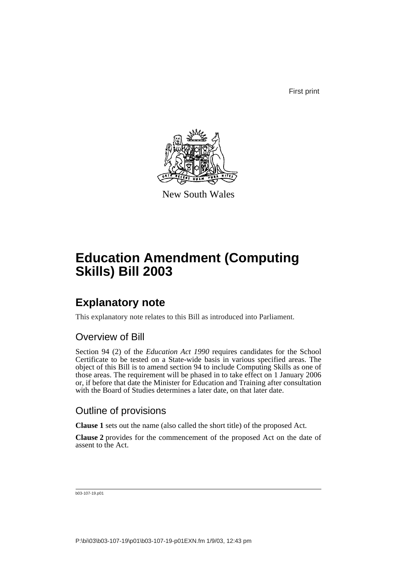First print



New South Wales

# **Education Amendment (Computing Skills) Bill 2003**

## **Explanatory note**

This explanatory note relates to this Bill as introduced into Parliament.

### Overview of Bill

Section 94 (2) of the *Education Act 1990* requires candidates for the School Certificate to be tested on a State-wide basis in various specified areas. The object of this Bill is to amend section 94 to include Computing Skills as one of those areas. The requirement will be phased in to take effect on 1 January 2006 or, if before that date the Minister for Education and Training after consultation with the Board of Studies determines a later date, on that later date.

### Outline of provisions

**Clause 1** sets out the name (also called the short title) of the proposed Act.

**Clause 2** provides for the commencement of the proposed Act on the date of assent to the Act.

b03-107-19.p01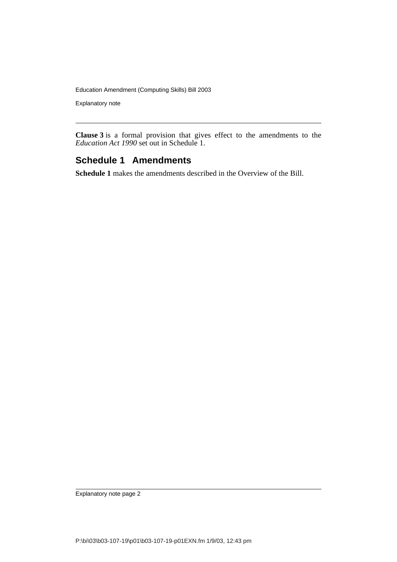Education Amendment (Computing Skills) Bill 2003

Explanatory note

**Clause 3** is a formal provision that gives effect to the amendments to the *Education Act 1990* set out in Schedule 1.

#### **Schedule 1 Amendments**

**Schedule 1** makes the amendments described in the Overview of the Bill.

Explanatory note page 2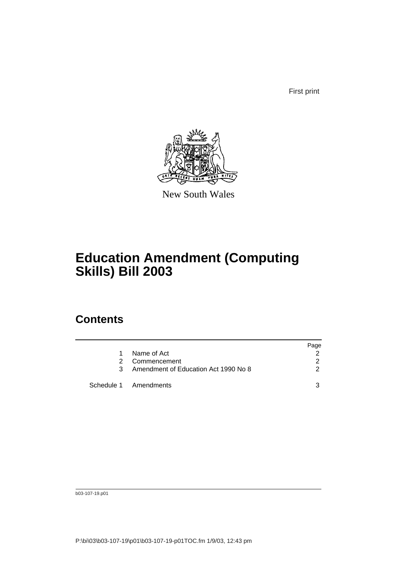First print



New South Wales

# **Education Amendment (Computing Skills) Bill 2003**

### **Contents**

|    |                                      | Page          |
|----|--------------------------------------|---------------|
| 1. | Name of Act                          |               |
| 2  | Commencement                         | 2             |
| 3  | Amendment of Education Act 1990 No 8 | $\mathcal{P}$ |
|    | Schedule 1 Amendments                |               |

b03-107-19.p01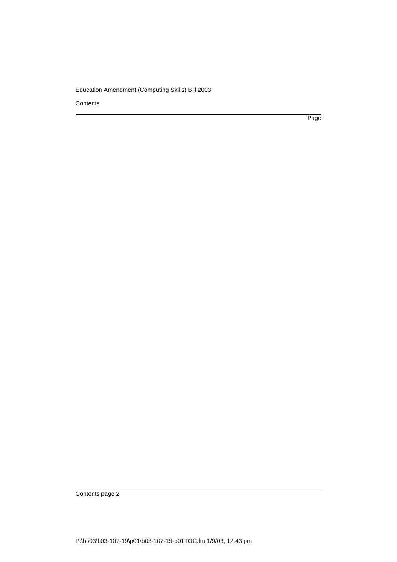#### Education Amendment (Computing Skills) Bill 2003

**Contents** 

Page

Contents page 2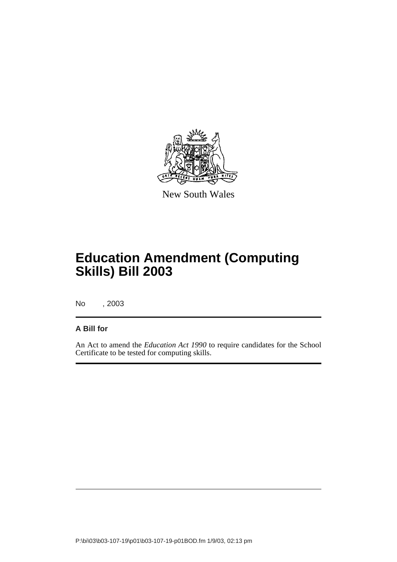

New South Wales

# **Education Amendment (Computing Skills) Bill 2003**

No , 2003

#### **A Bill for**

An Act to amend the *Education Act 1990* to require candidates for the School Certificate to be tested for computing skills.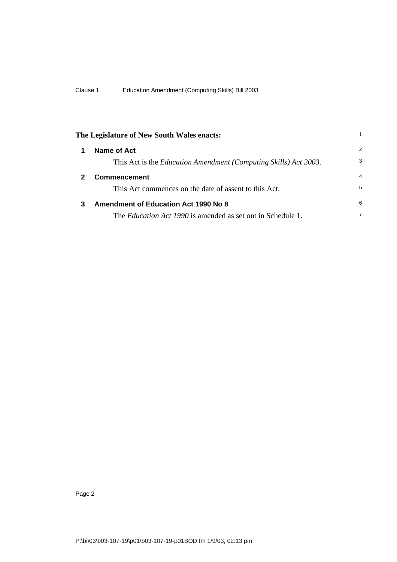<span id="page-5-2"></span><span id="page-5-1"></span><span id="page-5-0"></span>

| The Legislature of New South Wales enacts: |                                                                          |   |
|--------------------------------------------|--------------------------------------------------------------------------|---|
|                                            | Name of Act                                                              | 2 |
|                                            | This Act is the <i>Education Amendment (Computing Skills) Act 2003</i> . | 3 |
| 2                                          | <b>Commencement</b>                                                      | 4 |
|                                            | This Act commences on the date of assent to this Act.                    | 5 |
| 3                                          | <b>Amendment of Education Act 1990 No 8</b>                              | 6 |
|                                            | The <i>Education Act 1990</i> is amended as set out in Schedule 1.       | 7 |